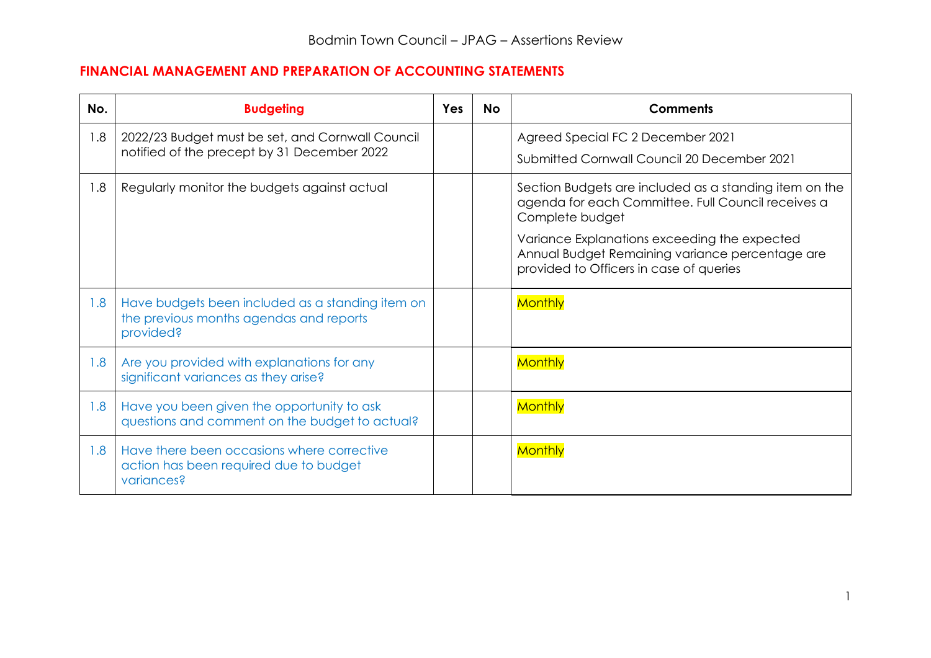# **FINANCIAL MANAGEMENT AND PREPARATION OF ACCOUNTING STATEMENTS**

| No. | <b>Budgeting</b>                                                                                         | <b>Yes</b> | <b>No</b> | <b>Comments</b>                                                                                                                                                                                                                                                               |
|-----|----------------------------------------------------------------------------------------------------------|------------|-----------|-------------------------------------------------------------------------------------------------------------------------------------------------------------------------------------------------------------------------------------------------------------------------------|
| 1.8 | 2022/23 Budget must be set, and Cornwall Council<br>notified of the precept by 31 December 2022          |            |           | Agreed Special FC 2 December 2021<br>Submitted Cornwall Council 20 December 2021                                                                                                                                                                                              |
| 1.8 | Regularly monitor the budgets against actual                                                             |            |           | Section Budgets are included as a standing item on the<br>agenda for each Committee. Full Council receives a<br>Complete budget<br>Variance Explanations exceeding the expected<br>Annual Budget Remaining variance percentage are<br>provided to Officers in case of queries |
| 1.8 | Have budgets been included as a standing item on<br>the previous months agendas and reports<br>provided? |            |           | <b>Monthly</b>                                                                                                                                                                                                                                                                |
| 1.8 | Are you provided with explanations for any<br>significant variances as they arise?                       |            |           | <b>Monthly</b>                                                                                                                                                                                                                                                                |
| 1.8 | Have you been given the opportunity to ask<br>questions and comment on the budget to actual?             |            |           | <b>Monthly</b>                                                                                                                                                                                                                                                                |
| 1.8 | Have there been occasions where corrective<br>action has been required due to budget<br>variances?       |            |           | <b>Monthly</b>                                                                                                                                                                                                                                                                |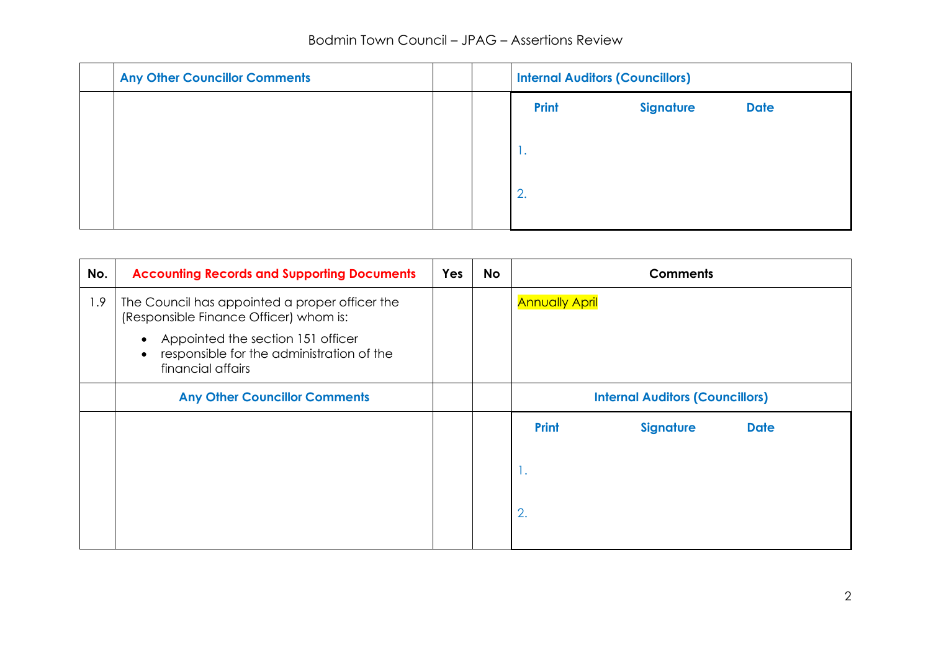# Bodmin Town Council – JPAG – Assertions Review

| <b>Any Other Councillor Comments</b> |  | <b>Internal Auditors (Councillors)</b> |                  |             |
|--------------------------------------|--|----------------------------------------|------------------|-------------|
|                                      |  | <b>Print</b>                           | <b>Signature</b> | <b>Date</b> |
|                                      |  | . .                                    |                  |             |
|                                      |  | 2.                                     |                  |             |
|                                      |  |                                        |                  |             |

| No. | <b>Accounting Records and Supporting Documents</b>                                                                    | <b>Yes</b> | <b>No</b> | <b>Comments</b>                                 |  |
|-----|-----------------------------------------------------------------------------------------------------------------------|------------|-----------|-------------------------------------------------|--|
| 1.9 | The Council has appointed a proper officer the<br>(Responsible Finance Officer) whom is:                              |            |           | <b>Annually April</b>                           |  |
|     | Appointed the section 151 officer<br>٠<br>responsible for the administration of the<br>$\bullet$<br>financial affairs |            |           |                                                 |  |
|     | <b>Any Other Councillor Comments</b>                                                                                  |            |           | <b>Internal Auditors (Councillors)</b>          |  |
|     |                                                                                                                       |            |           | <b>Print</b><br><b>Signature</b><br><b>Date</b> |  |
|     |                                                                                                                       |            |           | -1.                                             |  |
|     |                                                                                                                       |            |           | 2.                                              |  |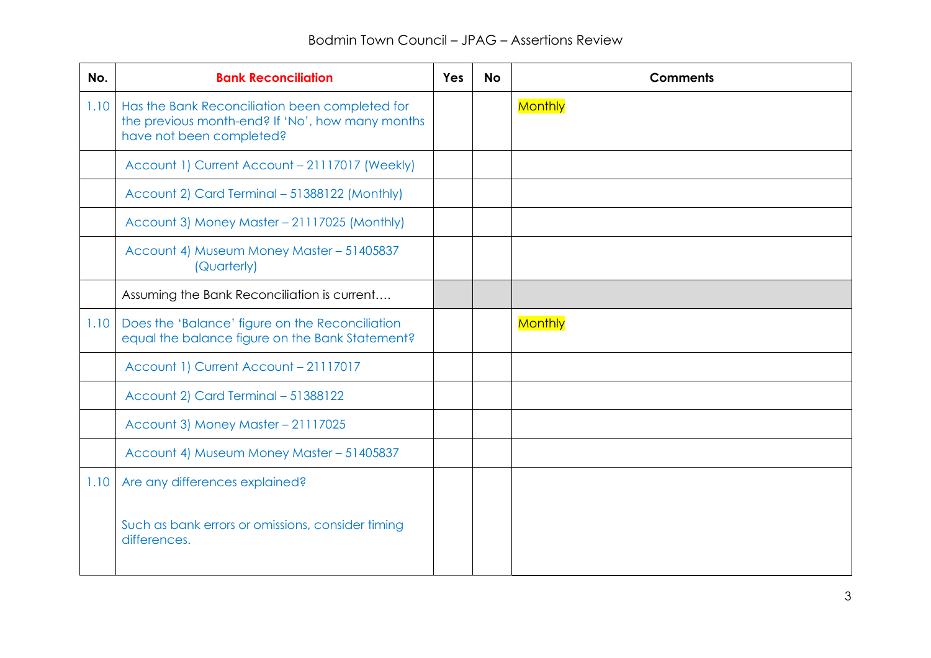| No.  | <b>Bank Reconciliation</b>                                                                                                     | <b>Yes</b> | <b>No</b> | <b>Comments</b> |
|------|--------------------------------------------------------------------------------------------------------------------------------|------------|-----------|-----------------|
| 1.10 | Has the Bank Reconciliation been completed for<br>the previous month-end? If 'No', how many months<br>have not been completed? |            |           | <b>Monthly</b>  |
|      | Account 1) Current Account - 21117017 (Weekly)                                                                                 |            |           |                 |
|      | Account 2) Card Terminal - 51388122 (Monthly)                                                                                  |            |           |                 |
|      | Account 3) Money Master - 21117025 (Monthly)                                                                                   |            |           |                 |
|      | Account 4) Museum Money Master - 51405837<br>(Quarterly)                                                                       |            |           |                 |
|      | Assuming the Bank Reconciliation is current                                                                                    |            |           |                 |
| 1.10 | Does the 'Balance' figure on the Reconciliation<br>equal the balance figure on the Bank Statement?                             |            |           | <b>Monthly</b>  |
|      | Account 1) Current Account - 21117017                                                                                          |            |           |                 |
|      | Account 2) Card Terminal - 51388122                                                                                            |            |           |                 |
|      | Account 3) Money Master - 21117025                                                                                             |            |           |                 |
|      | Account 4) Museum Money Master - 51405837                                                                                      |            |           |                 |
| 1.10 | Are any differences explained?                                                                                                 |            |           |                 |
|      | Such as bank errors or omissions, consider timing<br>differences.                                                              |            |           |                 |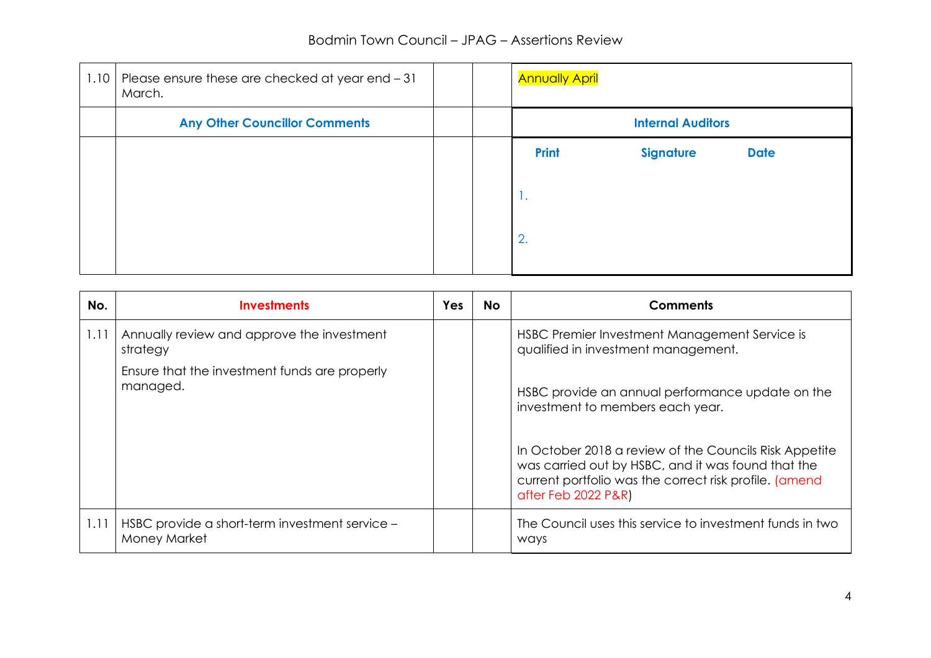| 1.10 | Please ensure these are checked at year end - 31<br>March. |  | <b>Annually April</b> |                          |             |
|------|------------------------------------------------------------|--|-----------------------|--------------------------|-------------|
|      | <b>Any Other Councillor Comments</b>                       |  |                       | <b>Internal Auditors</b> |             |
|      |                                                            |  | <b>Print</b>          | <b>Signature</b>         | <b>Date</b> |
|      |                                                            |  | -1.                   |                          |             |
|      |                                                            |  | 2.                    |                          |             |

| No.  | <b>Investments</b>                                             | Yes | <b>No</b> | <b>Comments</b>                                                                                                                                                                               |
|------|----------------------------------------------------------------|-----|-----------|-----------------------------------------------------------------------------------------------------------------------------------------------------------------------------------------------|
| 1.11 | Annually review and approve the investment<br>strategy         |     |           | HSBC Premier Investment Management Service is<br>qualified in investment management.                                                                                                          |
|      | Ensure that the investment funds are properly<br>managed.      |     |           | HSBC provide an annual performance update on the<br>investment to members each year.                                                                                                          |
|      |                                                                |     |           | In October 2018 a review of the Councils Risk Appetite<br>was carried out by HSBC, and it was found that the<br>current portfolio was the correct risk profile. (amend<br>after Feb 2022 P&R) |
| 1.11 | HSBC provide a short-term investment service -<br>Money Market |     |           | The Council uses this service to investment funds in two<br><i>ways</i>                                                                                                                       |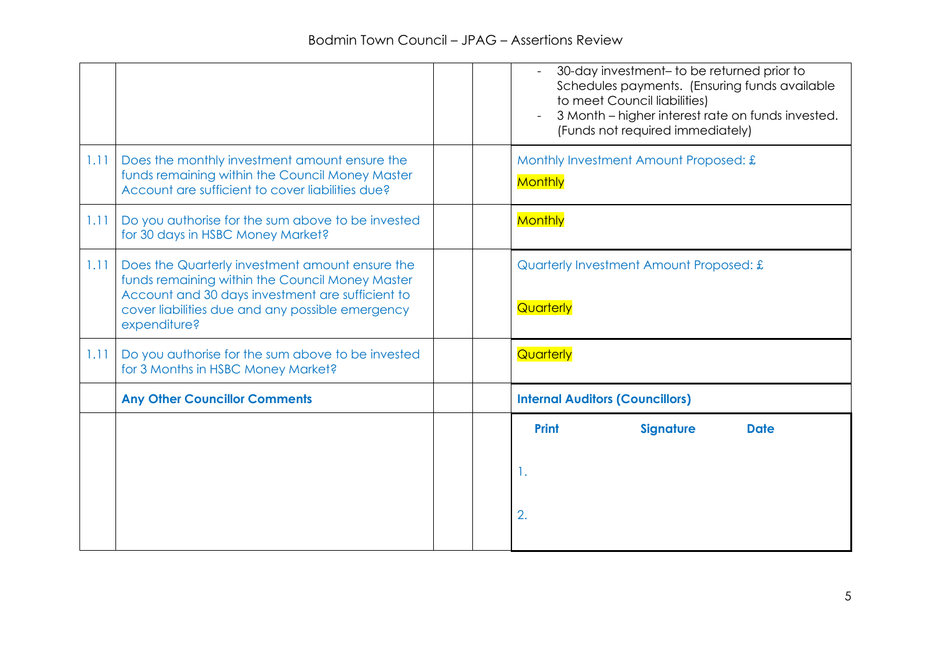|      |                                                                                                                                                                                                                            |  | 30-day investment- to be returned prior to<br>Schedules payments. (Ensuring funds available<br>to meet Council liabilities)<br>3 Month – higher interest rate on funds invested.<br>$\overline{a}$<br>(Funds not required immediately) |
|------|----------------------------------------------------------------------------------------------------------------------------------------------------------------------------------------------------------------------------|--|----------------------------------------------------------------------------------------------------------------------------------------------------------------------------------------------------------------------------------------|
| 1.11 | Does the monthly investment amount ensure the<br>funds remaining within the Council Money Master<br>Account are sufficient to cover liabilities due?                                                                       |  | Monthly Investment Amount Proposed: £<br>Monthly                                                                                                                                                                                       |
| 1.11 | Do you authorise for the sum above to be invested<br>for 30 days in HSBC Money Market?                                                                                                                                     |  | <b>Monthly</b>                                                                                                                                                                                                                         |
| 1.11 | Does the Quarterly investment amount ensure the<br>funds remaining within the Council Money Master<br>Account and 30 days investment are sufficient to<br>cover liabilities due and any possible emergency<br>expenditure? |  | Quarterly Investment Amount Proposed: £<br>Quarterly                                                                                                                                                                                   |
| 1.11 | Do you authorise for the sum above to be invested<br>for 3 Months in HSBC Money Market?                                                                                                                                    |  | Quarterly                                                                                                                                                                                                                              |
|      | <b>Any Other Councillor Comments</b>                                                                                                                                                                                       |  | <b>Internal Auditors (Councillors)</b>                                                                                                                                                                                                 |
|      |                                                                                                                                                                                                                            |  | <b>Signature</b><br><b>Print</b><br><b>Date</b>                                                                                                                                                                                        |
|      |                                                                                                                                                                                                                            |  | 1.                                                                                                                                                                                                                                     |
|      |                                                                                                                                                                                                                            |  | 2.                                                                                                                                                                                                                                     |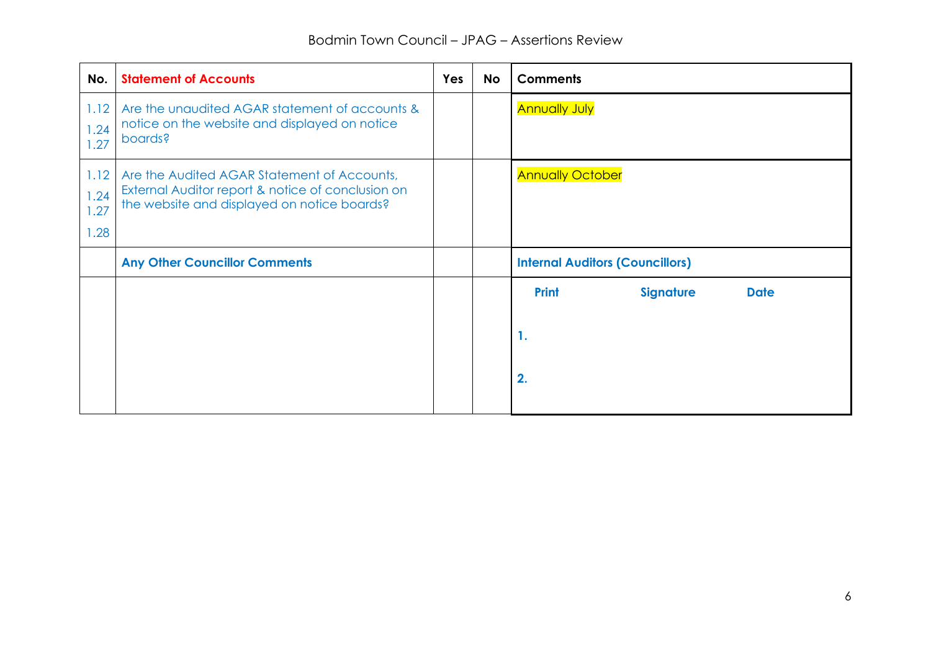| No.                          | <b>Statement of Accounts</b>                                                                                                                    | <b>Yes</b> | <b>No</b> | <b>Comments</b>                                 |
|------------------------------|-------------------------------------------------------------------------------------------------------------------------------------------------|------------|-----------|-------------------------------------------------|
| 1.12<br>1.24<br>1.27         | Are the unaudited AGAR statement of accounts &<br>notice on the website and displayed on notice<br>boards?                                      |            |           | <b>Annually July</b>                            |
| 1.12<br>1.24<br>1.27<br>1.28 | Are the Audited AGAR Statement of Accounts,<br>External Auditor report & notice of conclusion on<br>the website and displayed on notice boards? |            |           | <b>Annually October</b>                         |
|                              | <b>Any Other Councillor Comments</b>                                                                                                            |            |           | <b>Internal Auditors (Councillors)</b>          |
|                              |                                                                                                                                                 |            |           | <b>Print</b><br><b>Signature</b><br><b>Date</b> |
|                              |                                                                                                                                                 |            |           | 1.                                              |
|                              |                                                                                                                                                 |            |           | 2.                                              |
|                              |                                                                                                                                                 |            |           |                                                 |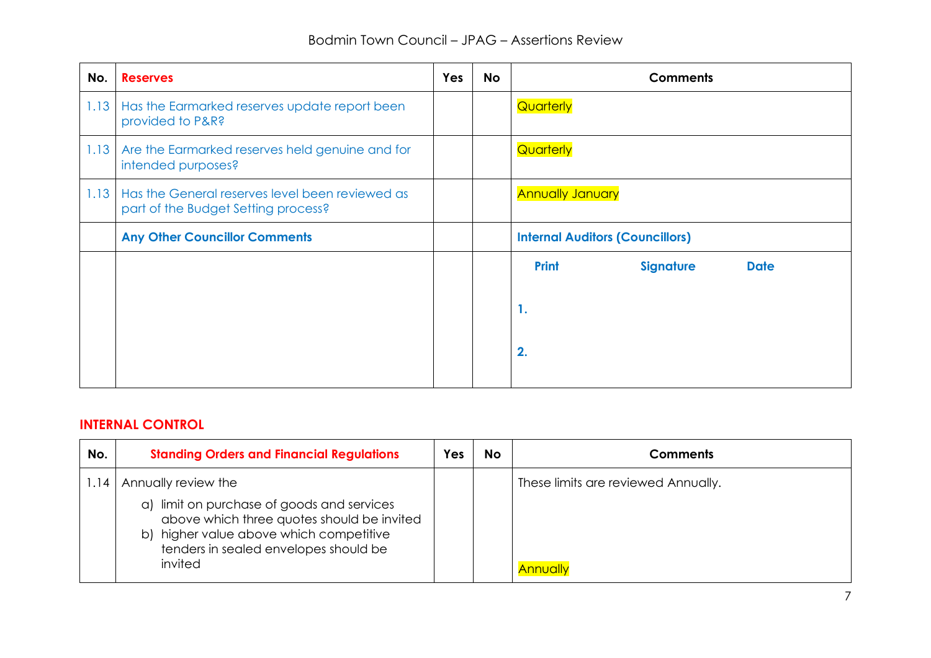| No.  | <b>Reserves</b>                                                                        | <b>Yes</b> | <b>No</b> | <b>Comments</b>                                 |
|------|----------------------------------------------------------------------------------------|------------|-----------|-------------------------------------------------|
| 1.13 | Has the Earmarked reserves update report been<br>provided to P&R?                      |            |           | Quarterly                                       |
| 1.13 | Are the Earmarked reserves held genuine and for<br>intended purposes?                  |            |           | Quarterly                                       |
| 1.13 | Has the General reserves level been reviewed as<br>part of the Budget Setting process? |            |           | <b>Annually January</b>                         |
|      | <b>Any Other Councillor Comments</b>                                                   |            |           | <b>Internal Auditors (Councillors)</b>          |
|      |                                                                                        |            |           | <b>Print</b><br><b>Signature</b><br><b>Date</b> |
|      |                                                                                        |            |           | 1.                                              |
|      |                                                                                        |            |           | 2.                                              |
|      |                                                                                        |            |           |                                                 |

# **INTERNAL CONTROL**

| No.  | <b>Standing Orders and Financial Regulations</b>                                                                                                                                           | Yes | <b>No</b> | <b>Comments</b>                     |
|------|--------------------------------------------------------------------------------------------------------------------------------------------------------------------------------------------|-----|-----------|-------------------------------------|
| 1.14 | Annually review the                                                                                                                                                                        |     |           | These limits are reviewed Annually. |
|      | limit on purchase of goods and services<br>a)<br>above which three quotes should be invited<br>b) higher value above which competitive<br>tenders in sealed envelopes should be<br>invited |     |           | Annually                            |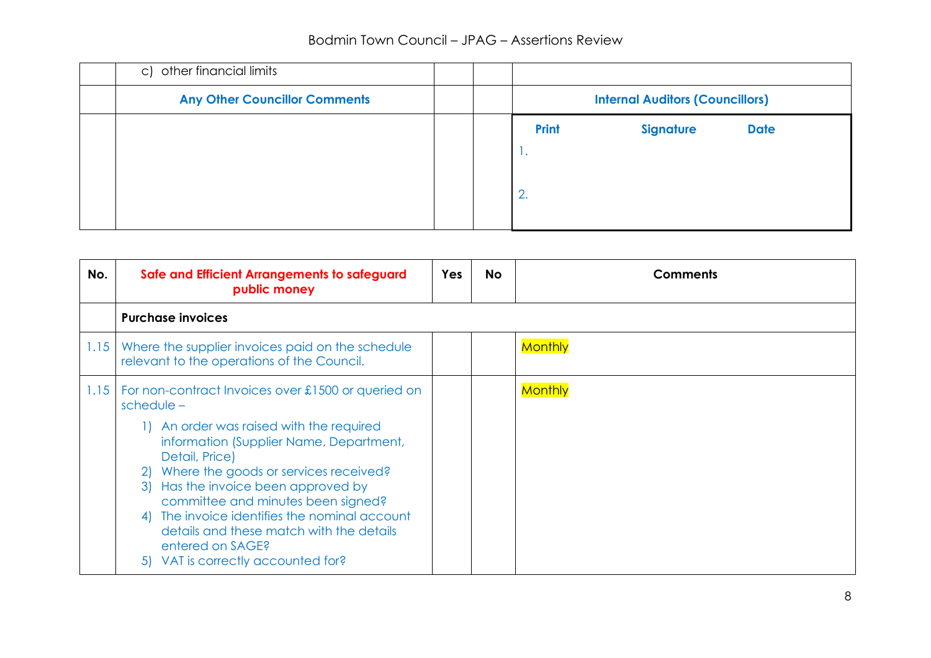# Bodmin Town Council – JPAG – Assertions Review

| c) other financial limits            |  |              |                                        |             |
|--------------------------------------|--|--------------|----------------------------------------|-------------|
| <b>Any Other Councillor Comments</b> |  |              | <b>Internal Auditors (Councillors)</b> |             |
|                                      |  | <b>Print</b> | <b>Signature</b>                       | <b>Date</b> |
|                                      |  | .            |                                        |             |
|                                      |  | 2.           |                                        |             |
|                                      |  |              |                                        |             |

| No.  | Safe and Efficient Arrangements to safeguard<br>public money                                                                                                                                                                                                                                                                                                                                                                                                         | Yes | No. | <b>Comments</b> |
|------|----------------------------------------------------------------------------------------------------------------------------------------------------------------------------------------------------------------------------------------------------------------------------------------------------------------------------------------------------------------------------------------------------------------------------------------------------------------------|-----|-----|-----------------|
|      | <b>Purchase invoices</b>                                                                                                                                                                                                                                                                                                                                                                                                                                             |     |     |                 |
| 1.15 | Where the supplier invoices paid on the schedule<br>relevant to the operations of the Council.                                                                                                                                                                                                                                                                                                                                                                       |     |     | <b>Monthly</b>  |
| 1.15 | For non-contract Invoices over £1500 or queried on<br>$schedule -$<br>1) An order was raised with the required<br>information (Supplier Name, Department,<br>Detail, Price)<br>Where the goods or services received?<br>21<br>Has the invoice been approved by<br>3)<br>committee and minutes been signed?<br>The invoice identifies the nominal account<br>4)<br>details and these match with the details<br>entered on SAGE?<br>5) VAT is correctly accounted for? |     |     | <b>Monthly</b>  |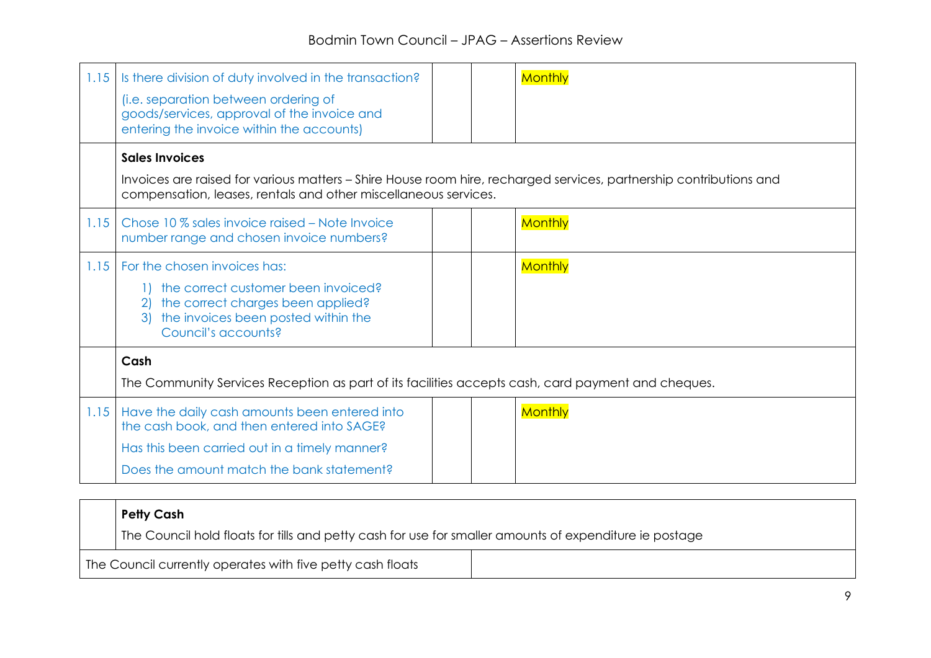| 1.15 | Is there division of duty involved in the transaction?<br>(i.e. separation between ordering of<br>goods/services, approval of the invoice and<br>entering the invoice within the accounts)                     |  | <b>Monthly</b> |
|------|----------------------------------------------------------------------------------------------------------------------------------------------------------------------------------------------------------------|--|----------------|
|      | <b>Sales Invoices</b><br>Invoices are raised for various matters - Shire House room hire, recharged services, partnership contributions and<br>compensation, leases, rentals and other miscellaneous services. |  |                |
| 1.15 | Chose 10 % sales invoice raised – Note Invoice<br>number range and chosen invoice numbers?                                                                                                                     |  | <b>Monthly</b> |
| 1.15 | For the chosen invoices has:<br>the correct customer been invoiced?<br>the correct charges been applied?<br>2)<br>the invoices been posted within the<br>3)<br>Council's accounts?                             |  | <b>Monthly</b> |
|      | Cash<br>The Community Services Reception as part of its facilities accepts cash, card payment and cheques.                                                                                                     |  |                |
| 1.15 | Have the daily cash amounts been entered into<br>the cash book, and then entered into SAGE?<br>Has this been carried out in a timely manner?<br>Does the amount match the bank statement?                      |  | <b>Monthly</b> |

| <b>Petty Cash</b>                                                                                      |  |
|--------------------------------------------------------------------------------------------------------|--|
| The Council hold floats for tills and petty cash for use for smaller amounts of expenditure ie postage |  |
| The Council currently operates with five petty cash floats                                             |  |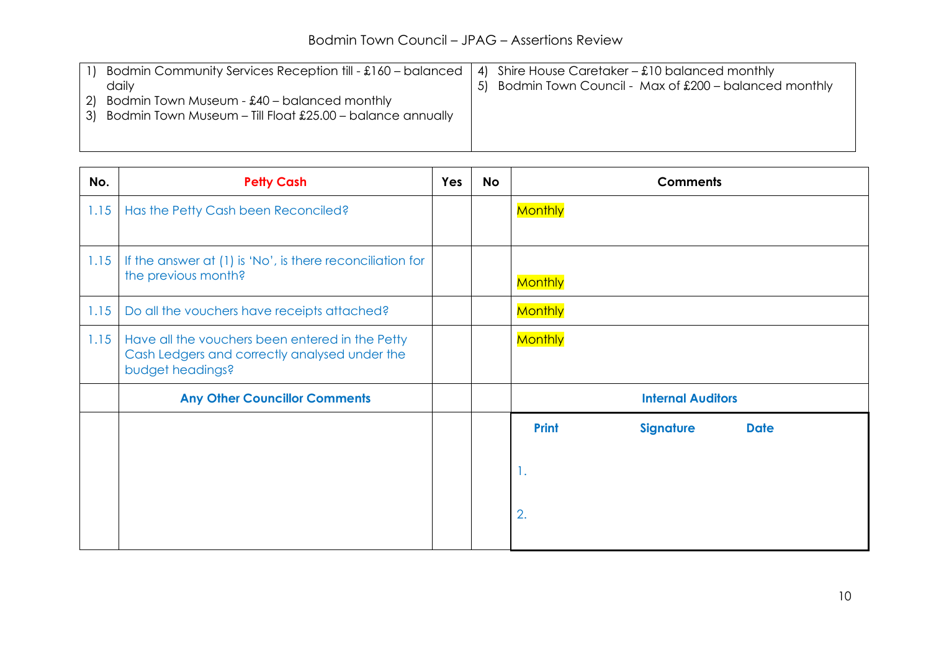|    | Bodmin Community Services Reception till - £160 - balanced | 4) Shire House Caretaker – $\pounds$ 10 balanced monthly |
|----|------------------------------------------------------------|----------------------------------------------------------|
|    | daily                                                      | 5) Bodmin Town Council - Max of £200 - balanced monthly  |
| 21 | Bodmin Town Museum - $£40 -$ balanced monthly              |                                                          |
| 31 | Bodmin Town Museum - Till Float £25.00 - balance annually  |                                                          |
|    |                                                            |                                                          |
|    |                                                            |                                                          |

| No.  | <b>Petty Cash</b>                                                                                                    | <b>Yes</b> | <b>No</b> | <b>Comments</b>                                 |
|------|----------------------------------------------------------------------------------------------------------------------|------------|-----------|-------------------------------------------------|
| 1.15 | Has the Petty Cash been Reconciled?                                                                                  |            |           | <b>Monthly</b>                                  |
| 1.15 | If the answer at (1) is 'No', is there reconciliation for<br>the previous month?                                     |            |           | <b>Monthly</b>                                  |
| 1.15 | Do all the vouchers have receipts attached?                                                                          |            |           | <b>Monthly</b>                                  |
| 1.15 | Have all the vouchers been entered in the Petty<br>Cash Ledgers and correctly analysed under the<br>budget headings? |            |           | <b>Monthly</b>                                  |
|      | <b>Any Other Councillor Comments</b>                                                                                 |            |           | <b>Internal Auditors</b>                        |
|      |                                                                                                                      |            |           | <b>Print</b><br><b>Signature</b><br><b>Date</b> |
|      |                                                                                                                      |            |           | 1.                                              |
|      |                                                                                                                      |            |           | 2.                                              |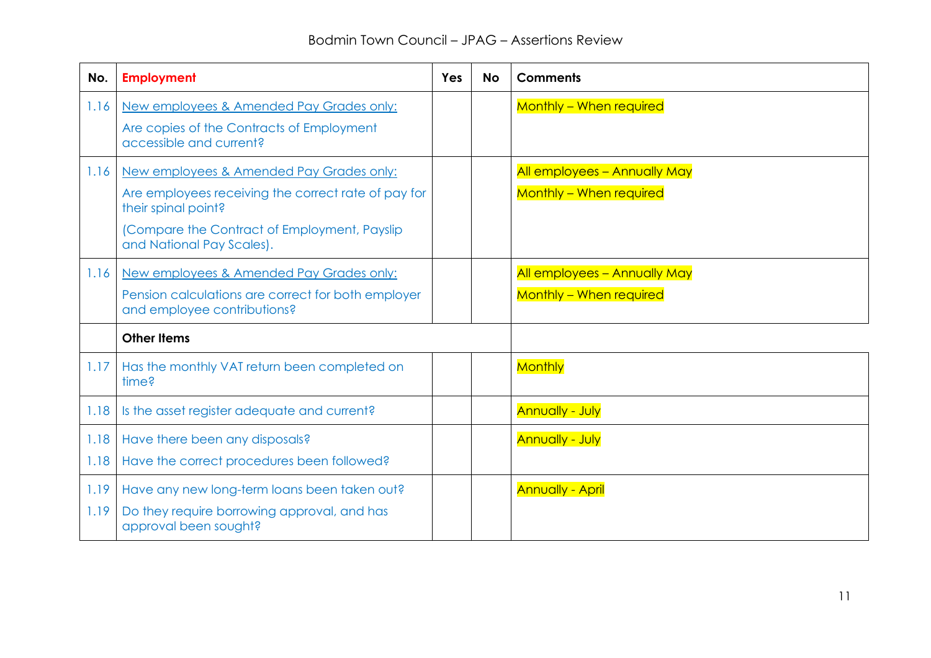| No.          | <b>Employment</b>                                                                                                                                                                                    | <b>Yes</b> | <b>No</b> | <b>Comments</b>                                         |
|--------------|------------------------------------------------------------------------------------------------------------------------------------------------------------------------------------------------------|------------|-----------|---------------------------------------------------------|
| 1.16         | New employees & Amended Pay Grades only:<br>Are copies of the Contracts of Employment<br>accessible and current?                                                                                     |            |           | Monthly - When required                                 |
| 1.16         | New employees & Amended Pay Grades only:<br>Are employees receiving the correct rate of pay for<br>their spinal point?<br>(Compare the Contract of Employment, Payslip)<br>and National Pay Scales). |            |           | All employees - Annually May<br>Monthly - When required |
| 1.16         | New employees & Amended Pay Grades only:<br>Pension calculations are correct for both employer<br>and employee contributions?                                                                        |            |           | All employees - Annually May<br>Monthly - When required |
|              | <b>Other Items</b>                                                                                                                                                                                   |            |           |                                                         |
| 1.17         | Has the monthly VAT return been completed on<br>time?                                                                                                                                                |            |           | <b>Monthly</b>                                          |
| 1.18         | Is the asset register adequate and current?                                                                                                                                                          |            |           | <b>Annually - July</b>                                  |
| 1.18<br>1.18 | Have there been any disposals?<br>Have the correct procedures been followed?                                                                                                                         |            |           | <b>Annually - July</b>                                  |
| 1.19<br>1.19 | Have any new long-term loans been taken out?<br>Do they require borrowing approval, and has<br>approval been sought?                                                                                 |            |           | <b>Annually - April</b>                                 |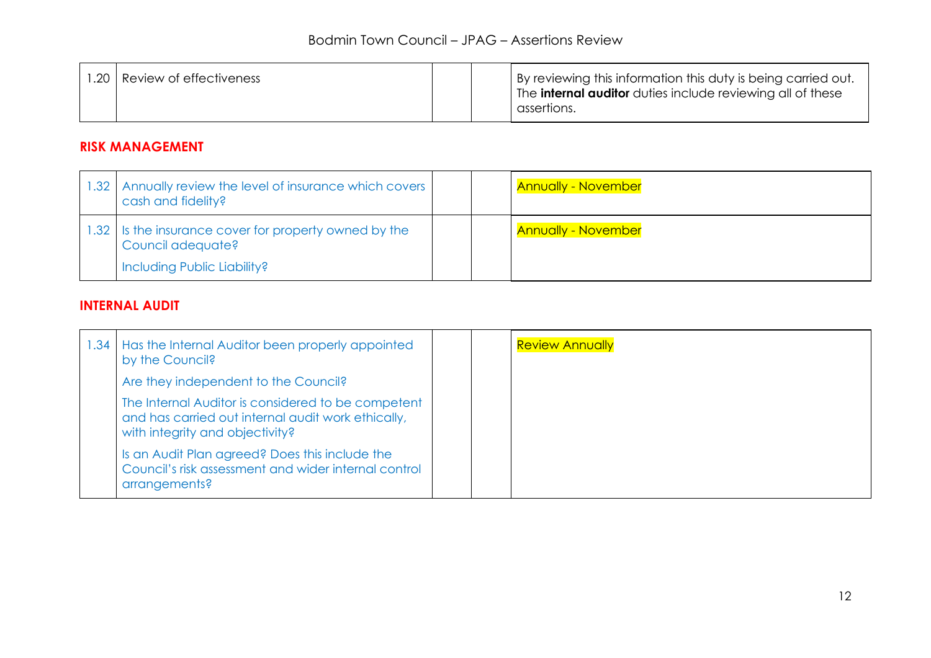| .20<br>Review of effectiveness |  |  | By reviewing this information this duty is being carried out.<br>I The <b>internal auditor</b> duties include reviewing all of these<br>assertions. |
|--------------------------------|--|--|-----------------------------------------------------------------------------------------------------------------------------------------------------|
|--------------------------------|--|--|-----------------------------------------------------------------------------------------------------------------------------------------------------|

#### **RISK MANAGEMENT**

| .32 <sub>1</sub> | Annually review the level of insurance which covers<br>cash and fidelity?                            |  | <b>Annually - November</b> |
|------------------|------------------------------------------------------------------------------------------------------|--|----------------------------|
| .32 <sub>1</sub> | Is the insurance cover for property owned by the<br>Council adequate?<br>Including Public Liability? |  | <b>Annually - November</b> |

# **INTERNAL AUDIT**

| 1.34 | Has the Internal Auditor been properly appointed<br>by the Council?                                                                         |  | <b>Review Annually</b> |
|------|---------------------------------------------------------------------------------------------------------------------------------------------|--|------------------------|
|      | Are they independent to the Council?                                                                                                        |  |                        |
|      | The Internal Auditor is considered to be competent<br>and has carried out internal audit work ethically,<br>with integrity and objectivity? |  |                        |
|      | Is an Audit Plan agreed? Does this include the<br>Council's risk assessment and wider internal control<br>arrangements?                     |  |                        |